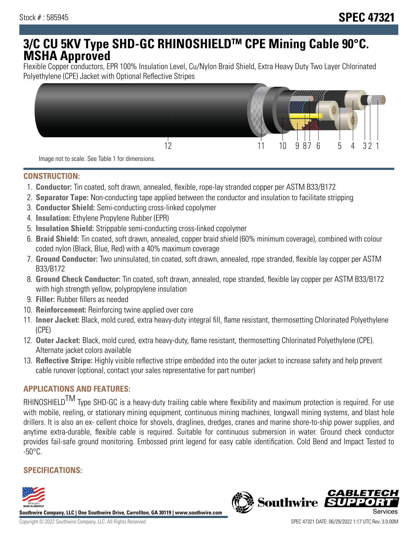# **3/C CU 5KV Type SHD-GC RHINOSHIELDTM CPE Mining Cable 90°C. MSHA Approved**

Flexible Copper conductors, EPR 100% Insulation Level, Cu/Nylon Braid Shield, Extra Heavy Duty Two Layer Chlorinated Polyethylene (CPE) Jacket with Optional Reflective Stripes



Image not to scale. See Table 1 for dimensions.

#### **CONSTRUCTION:**

- 1. **Conductor:** Tin coated, soft drawn, annealed, flexible, rope-lay stranded copper per ASTM B33/B172
- 2. **Separator Tape:** Non-conducting tape applied between the conductor and insulation to facilitate stripping
- 3. **Conductor Shield:** Semi-conducting cross-linked copolymer
- 4. **Insulation:** Ethylene Propylene Rubber (EPR)
- 5. **Insulation Shield:** Strippable semi-conducting cross-linked copolymer
- 6. **Braid Shield:** Tin coated, soft drawn, annealed, copper braid shield (60% minimum coverage), combined with colour coded nylon (Black, Blue, Red) with a 40% maximum coverage
- 7. **Ground Conductor:** Two uninsulated, tin coated, soft drawn, annealed, rope stranded, flexible lay copper per ASTM B33/B172
- 8. **Ground Check Conductor:** Tin coated, soft drawn, annealed, rope stranded, flexible lay copper per ASTM B33/B172 with high strength yellow, polypropylene insulation
- 9. **Filler:** Rubber fillers as needed
- 10. **Reinforcement:** Reinforcing twine applied over core
- 11. **Inner Jacket:** Black, mold cured, extra heavy-duty integral fill, flame resistant, thermosetting Chlorinated Polyethylene (CPE)
- 12. **Outer Jacket:** Black, mold cured, extra heavy-duty, flame resistant, thermosetting Chlorinated Polyethylene (CPE). Alternate jacket colors available
- 13. **Reflective Stripe:** Highly visible reflective stripe embedded into the outer jacket to increase safety and help prevent cable runover (optional, contact your sales representative for part number)

### **APPLICATIONS AND FEATURES:**

RHINOSHIELD<sup>TM</sup> Type SHD-GC is a heavy-duty trailing cable where flexibility and maximum protection is required. For use with mobile, reeling, or stationary mining equipment, continuous mining machines, longwall mining systems, and blast hole drillers. It is also an ex- cellent choice for shovels, draglines, dredges, cranes and marine shore-to-ship power supplies, and anytime extra-durable, flexible cable is required. Suitable for continuous submersion in water. Ground check conductor provides fail-safe ground monitoring. Embossed print legend for easy cable identification. Cold Bend and Impact Tested to  $-50^{\circ}$ C.

#### **SPECIFICATIONS:**



**Southwire Company, LLC | One Southwire Drive, Carrollton, GA 30119 | www.southwire.com**

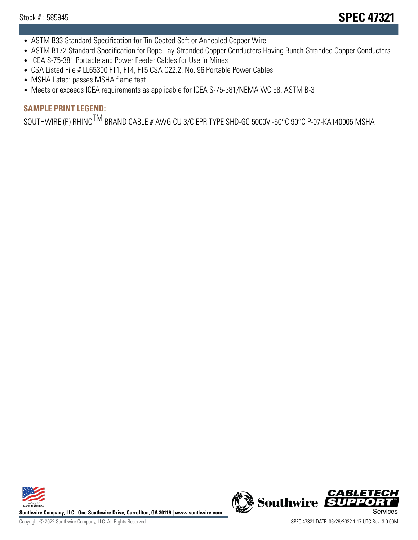- ASTM B33 Standard Specification for Tin-Coated Soft or Annealed Copper Wire
- ASTM B172 Standard Specification for Rope-Lay-Stranded Copper Conductors Having Bunch-Stranded Copper Conductors
- ICEA S-75-381 Portable and Power Feeder Cables for Use in Mines
- CSA Listed File # LL65300 FT1, FT4, FT5 CSA C22.2, No. 96 Portable Power Cables
- MSHA listed: passes MSHA flame test
- Meets or exceeds ICEA requirements as applicable for ICEA S-75-381/NEMA WC 58, ASTM B-3

## **SAMPLE PRINT LEGEND:**

SOUTHWIRE (R) RHINO<sup>TM</sup> BRAND CABLE # AWG CU 3/C EPR TYPE SHD-GC 5000V -50°C 90°C P-07-KA140005 MSHA